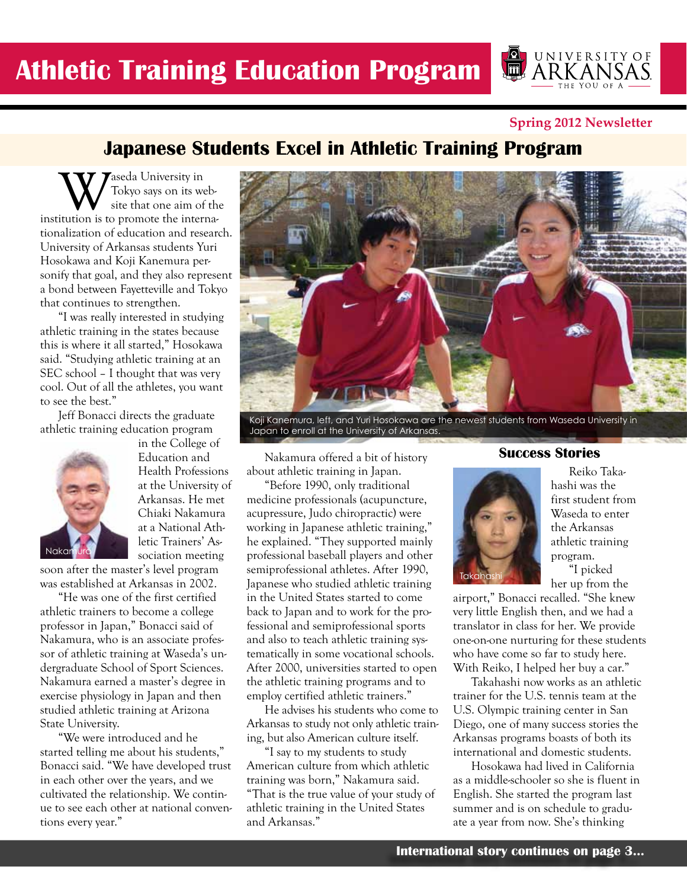**Spring 2012 Newsletter**

UNIVERSITY OF

 $\sqrt{\overline{\text{m}}}$ 

# **Japanese Students Excel in Athletic Training Program**

**W**<br>Tokyo says on its web-<br>institution is to promote the interna-Tokyo says on its website that one aim of the tionalization of education and research. University of Arkansas students Yuri Hosokawa and Koji Kanemura personify that goal, and they also represent a bond between Fayetteville and Tokyo that continues to strengthen.

"I was really interested in studying athletic training in the states because this is where it all started," Hosokawa said. "Studying athletic training at an SEC school – I thought that was very cool. Out of all the athletes, you want to see the best."

Jeff Bonacci directs the graduate athletic training education program



in the College of Education and Health Professions at the University of Arkansas. He met Chiaki Nakamura at a National Athletic Trainers' Association meeting

soon after the master's level program was established at Arkansas in 2002.

"He was one of the first certified athletic trainers to become a college professor in Japan," Bonacci said of Nakamura, who is an associate professor of athletic training at Waseda's undergraduate School of Sport Sciences. Nakamura earned a master's degree in exercise physiology in Japan and then studied athletic training at Arizona State University.

"We were introduced and he started telling me about his students," Bonacci said. "We have developed trust in each other over the years, and we cultivated the relationship. We continue to see each other at national conventions every year."



Koji Kanemura, left, and Yuri Hosokawa are the newest students from Waseda University in Japan to enroll at the University of Arkansas.

Nakamura offered a bit of history about athletic training in Japan.

"Before 1990, only traditional medicine professionals (acupuncture, acupressure, Judo chiropractic) were working in Japanese athletic training," he explained. "They supported mainly professional baseball players and other semiprofessional athletes. After 1990, Japanese who studied athletic training in the United States started to come back to Japan and to work for the professional and semiprofessional sports and also to teach athletic training systematically in some vocational schools. After 2000, universities started to open the athletic training programs and to employ certified athletic trainers."

He advises his students who come to Arkansas to study not only athletic training, but also American culture itself.

"I say to my students to study American culture from which athletic training was born," Nakamura said. "That is the true value of your study of athletic training in the United States and Arkansas."

#### **Success Stories**



Reiko Takahashi was the first student from Waseda to enter the Arkansas athletic training program. "I picked

her up from the

airport," Bonacci recalled. "She knew very little English then, and we had a translator in class for her. We provide one-on-one nurturing for these students who have come so far to study here. With Reiko, I helped her buy a car."

Takahashi now works as an athletic trainer for the U.S. tennis team at the U.S. Olympic training center in San Diego, one of many success stories the Arkansas programs boasts of both its international and domestic students.

Hosokawa had lived in California as a middle-schooler so she is fluent in English. She started the program last summer and is on schedule to graduate a year from now. She's thinking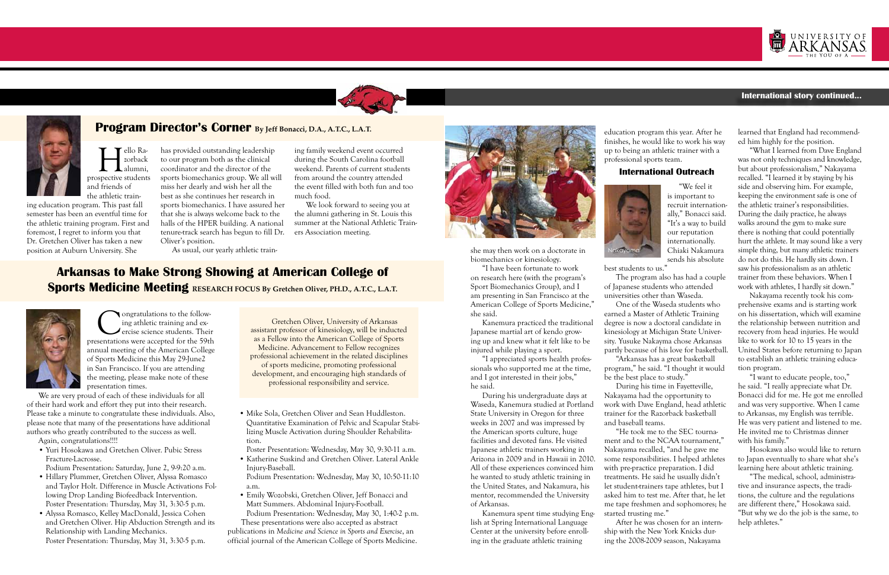



# **Program Director's Corner By Jeff Bonacci, D.A., A.T.C., L.A.T.**

# **Arkansas to Make Strong Showing at American College of Sports Medicine Meeting RESEARCH FOCUS By Gretchen Oliver, PH.D., A.T.C., L.A.T.**

 $\begin{tabular}{c} \quad \quad \textbf{F} \\ \quad \textbf{F} \\ \textbf{F} \\ \textbf{F} \\ \textbf{F} \\ \textbf{F} \\ \textbf{F} \\ \textbf{F} \\ \textbf{F} \\ \textbf{F} \\ \textbf{F} \\ \textbf{F} \\ \textbf{F} \\ \textbf{F} \\ \textbf{F} \\ \textbf{F} \\ \textbf{F} \\ \textbf{F} \\ \textbf{F} \\ \textbf{F} \\ \textbf{F} \\ \textbf{F} \\ \textbf{F} \\ \textbf{F} \\ \textbf{F} \\ \textbf{F} \\ \textbf{F} \\ \textbf{F} \\ \textbf{F} \\ \textbf{$ zorback alumni, and friends of the athletic train-

ing education program. This past fall semester has been an eventful time for the athletic training program. First and foremost, I regret to inform you that Dr. Gretchen Oliver has taken a new position at Auburn University. She

has provided outstanding leadership to our program both as the clinical coordinator and the director of the sports biomechanics group. We all will miss her dearly and wish her all the best as she continues her research in sports biomechanics. I have assured her that she is always welcome back to the halls of the HPER building. A national

**Conditions to the following and exercise**<br>ercise science students. Their<br>sentations were accepted for the 59th ing athletic training and exercise science students. Their presentations were accepted for the 59th annual meeting of the American College of Sports Medicine this May 29-June2 in San Francisco. If you are attending the meeting, please make note of these presentation times.

tenure-track search has begun to fill Dr.

Oliver's position.



As usual, our yearly athletic train-

ing family weekend event occurred during the South Carolina football weekend. Parents of current students from around the country attended the event filled with both fun and too much food.

We look forward to seeing you at the alumni gathering in St. Louis this summer at the National Athletic Trainers Association meeting.

We are very proud of each of these individuals for all of their hard work and effort they put into their research. Please take a minute to congratulate these individuals. Also, please note that many of the presentations have additional authors who greatly contributed to the success as well.

Again, congratulations!!!!

• Yuri Hosokawa and Gretchen Oliver. Pubic Stress Fracture-Lacrosse.

Podium Presentation: Saturday, June 2, 9-9:20 a.m.

- Hillary Plummer, Gretchen Oliver, Alyssa Romasco and Taylor Holt. Difference in Muscle Activations Following Drop Landing Biofeedback Intervention. Poster Presentation: Thursday, May 31, 3:30-5 p.m.
- Alyssa Romasco, Kelley MacDonald, Jessica Cohen and Gretchen Oliver. Hip Abduction Strength and its Relationship with Landing Mechanics. Poster Presentation: Thursday, May 31, 3:30-5 p.m.

• Mike Sola, Gretchen Oliver and Sean Huddleston. Quantitative Examination of Pelvic and Scapular Stabilizing Muscle Activation during Shoulder Rehabilitation.

Poster Presentation: Wednesday, May 30, 9:30-11 a.m.

- Katherine Suskind and Gretchen Oliver. Lateral Ankle Injury-Baseball.
- Podium Presentation: Wednesday, May 30, 10:50-11:10 a.m.
- Emily Wozobski, Gretchen Oliver, Jeff Bonacci and Matt Summers. Abdominal Injury-Football. Podium Presentation: Wednesday, May 30, 1:40-2 p.m.

 These presentations were also accepted as abstract publications in *Medicine and Science in Sports and Exercise*, an official journal of the American College of Sports Medicine.



#### **International story continued...**



she may then work on a doctorate in biomechanics or kinesiology.

"I have been fortunate to work on research here (with the program's Sport Biomechanics Group), and I am presenting in San Francisco at the American College of Sports Medicine," she said.

Kanemura practiced the traditional Japanese martial art of kendo growing up and knew what it felt like to be injured while playing a sport.

> "The medical, school, administrative and insurance aspects, the traditions, the culture and the regulations are different there," Hosokawa said. "But why we do the job is the same, to help athletes.'

"I appreciated sports health professionals who supported me at the time, and I got interested in their jobs," he said.

During his undergraduate days at Waseda, Kanemura studied at Portland State University in Oregon for three weeks in 2007 and was impressed by the American sports culture, huge facilities and devoted fans. He visited Japanese athletic trainers working in Arizona in 2009 and in Hawaii in 2010. All of these experiences convinced him he wanted to study athletic training in the United States, and Nakamura, his mentor, recommended the University of Arkansas.

Kanemura spent time studying English at Spring International Language Center at the university before enrolling in the graduate athletic training

education program this year. After he finishes, he would like to work his way up to being an athletic trainer with a professional sports team.

#### **International Outreach**

"We feel it is important to recruit internationally," Bonacci said. "It's a way to build our reputation internationally. Chiaki Nakamura sends his absolute

best students to us."

The program also has had a couple of Japanese students who attended universities other than Waseda. One of the Waseda students who earned a Master of Athletic Training degree is now a doctoral candidate in kinesiology at Michigan State Univerpartly because of his love for basketball. "Arkansas has a great basketball program," he said. "I thought it would be the best place to study."

sity. Yusuke Nakayma chose Arkansas

During his time in Fayetteville, Nakayama had the opportunity to work with Dave England, head athletic trainer for the Razorback basketball and baseball teams.

"He took me to the SEC tournament and to the NCAA tournament," Nakayama recalled, "and he gave me some responsibilities. I helped athletes with pre-practice preparation. I did treatments. He said he usually didn't let student-trainers tape athletes, but I asked him to test me. After that, he let me tape freshmen and sophomores; he started trusting me."

After he was chosen for an internship with the New York Knicks during the 2008-2009 season, Nakayama



learned that England had recommended him highly for the position.

"What I learned from Dave England was not only techniques and knowledge, but about professionalism," Nakayama recalled. "I learned it by staying by his side and observing him. For example, keeping the environment safe is one of the athletic trainer's responsibilities. During the daily practice, he always walks around the gym to make sure there is nothing that could potentially hurt the athlete. It may sound like a very simple thing, but many athletic trainers do not do this. He hardly sits down. I saw his professionalism as an athletic trainer from these behaviors. When I work with athletes, I hardly sit down."

Nakayama recently took his comprehensive exams and is starting work on his dissertation, which will examine the relationship between nutrition and recovery from head injuries. He would like to work for 10 to 15 years in the United States before returning to Japan to establish an athletic training education program.

"I want to educate people, too," he said. "I really appreciate what Dr. Bonacci did for me. He got me enrolled and was very supportive. When I came to Arkansas, my English was terrible. He was very patient and listened to me. He invited me to Christmas dinner with his family."

Hosokawa also would like to return to Japan eventually to share what she's learning here about athletic training.



Gretchen Oliver, University of Arkansas assistant professor of kinesiology, will be inducted as a Fellow into the American College of Sports Medicine. Advancement to Fellow recognizes professional achievement in the related disciplines of sports medicine, promoting professional development, and encouraging high standards of professional responsibility and service.